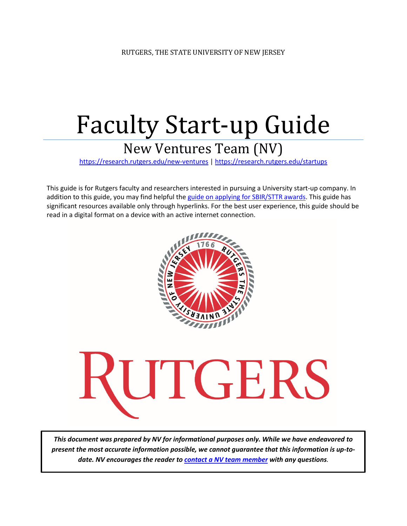# Faculty Start-up Guide

## New Ventures Team (NV)

<https://research.rutgers.edu/new-ventures> [| https://research.rutgers.edu/startups](https://research.rutgers.edu/startups)

This guide is for Rutgers faculty and researchers interested in pursuing a University start-up company. In addition to this guide, you may find helpful the [guide on applying for SBIR/STTR awards.](https://research.rutgers.edu/sites/default/files/2020-08/Rutgers-SBIR-STTR-Guide.pdf) This guide has significant resources available only through hyperlinks. For the best user experience, this guide should be read in a digital format on a device with an active internet connection.





*This document was prepared by NV for informational purposes only. While we have endeavored to present the most accurate information possible, we cannot guarantee that this information is up-todate. NV encourages the reader to [contact a NV team member](mailto:innovate@research.rutgers.edu) with any questions.*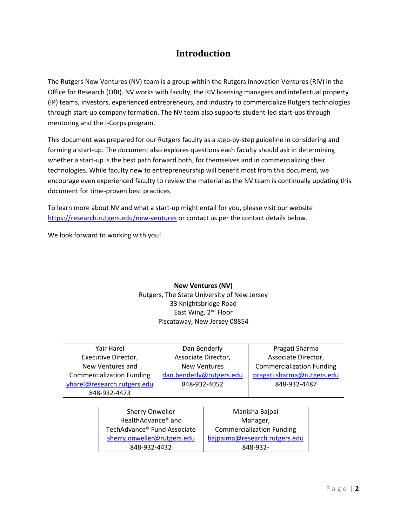## **Introduction**

The Rutgers New Ventures (NV) team is a group within the Rutgers Innovation Ventures (RIV) in the Office for Research (OfR). NV works with faculty, the RIV licensing managers and intellectual property (IP) teams, investors, experienced entrepreneurs, and industry to commercialize Rutgers technologies through start-up company formation. The NV team also supports student-led start-ups through mentoring and the I-Corps program.

This document was prepared for our Rutgers faculty as a step-by-step guideline in considering and forming a start-up. The document also explores questions each faculty should ask in determining whether a start-up is the best path forward both, for themselves and in commercializing their technologies. While faculty new to entrepreneurship will benefit most from this document, we encourage even experienced faculty to review the material as the NV team is continually updating this document for time-proven best practices.

To learn more about NV and what a start-up might entail for you, please visit our website <https://research.rutgers.edu/new-ventures> or contact us per the contact details below.

We look forward to working with you!

## **New Ventures (NV)**

Rutgers, The State University of New Jersey 33 Knightsbridge Road East Wing, 2<sup>nd</sup> Floor Piscataway, New Jersey 08854

| Yair Harel                       | Dan Benderly             | Pragati Sharma                   |
|----------------------------------|--------------------------|----------------------------------|
| Executive Director,              | Associate Director,      | Associate Director,              |
| New Ventures and                 | <b>New Ventures</b>      | <b>Commercialization Funding</b> |
| <b>Commercialization Funding</b> | dan.benderly@rutgers.edu | pragati.sharma@rutgers.edu       |
|                                  |                          |                                  |
| yharel@research.rutgers.edu      | 848-932-4052             | 848-932-4487                     |
| 848-932-4473                     |                          |                                  |

| Manisha Bajpai                   |
|----------------------------------|
| Manager,                         |
| <b>Commercialization Funding</b> |
| bajpaima@research.rutgers.edu    |
| 848-932-                         |
|                                  |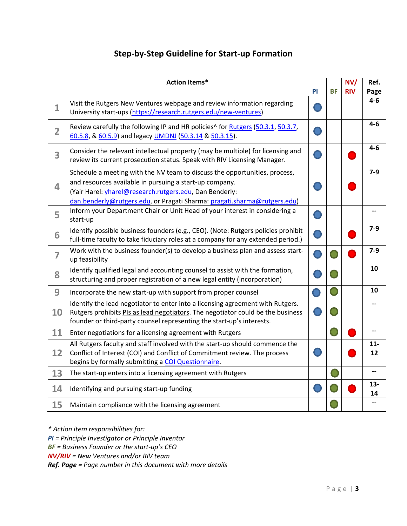## **Step-by-Step Guideline for Start-up Formation**

|                | <b>Action Items*</b>                                                                                                                                                                                                                                                         | <b>PI</b> | <b>BF</b> | NVI<br><b>RIV</b> | Ref.<br>Page |
|----------------|------------------------------------------------------------------------------------------------------------------------------------------------------------------------------------------------------------------------------------------------------------------------------|-----------|-----------|-------------------|--------------|
| $\overline{1}$ | Visit the Rutgers New Ventures webpage and review information regarding<br>University start-ups (https://research.rutgers.edu/new-ventures)                                                                                                                                  |           |           |                   | $4-6$        |
| $\overline{2}$ | Review carefully the following IP and HR policies^ for Rutgers (50.3.1, 50.3.7,<br>60.5.8, & 60.5.9) and legacy UMDNJ (50.3.14 & 50.3.15).                                                                                                                                   |           |           |                   | $4 - 6$      |
| 3              | Consider the relevant intellectual property (may be multiple) for licensing and<br>review its current prosecution status. Speak with RIV Licensing Manager.                                                                                                                  |           |           |                   | $4 - 6$      |
| 4              | Schedule a meeting with the NV team to discuss the opportunities, process,<br>and resources available in pursuing a start-up company.<br>(Yair Harel: vharel@research.rutgers.edu, Dan Benderly:<br>dan.benderly@rutgers.edu, or Pragati Sharma: pragati.sharma@rutgers.edu) |           |           |                   | $7 - 9$      |
| 5              | Inform your Department Chair or Unit Head of your interest in considering a<br>start-up                                                                                                                                                                                      |           |           |                   |              |
| 6              | Identify possible business founders (e.g., CEO). (Note: Rutgers policies prohibit<br>full-time faculty to take fiduciary roles at a company for any extended period.)                                                                                                        |           |           |                   | $7-9$        |
| $\overline{7}$ | Work with the business founder(s) to develop a business plan and assess start-<br>up feasibility                                                                                                                                                                             |           |           |                   | $7-9$        |
| 8              | Identify qualified legal and accounting counsel to assist with the formation,<br>structuring and proper registration of a new legal entity (incorporation)                                                                                                                   |           |           |                   | 10           |
| 9              | Incorporate the new start-up with support from proper counsel                                                                                                                                                                                                                |           |           |                   | 10           |
| 10             | Identify the lead negotiator to enter into a licensing agreement with Rutgers.<br>Rutgers prohibits PIs as lead negotiators. The negotiator could be the business<br>founder or third-party counsel representing the start-up's interests.                                   |           |           |                   |              |
| 11             | Enter negotiations for a licensing agreement with Rutgers                                                                                                                                                                                                                    |           |           |                   |              |
| 12             | All Rutgers faculty and staff involved with the start-up should commence the<br>Conflict of Interest (COI) and Conflict of Commitment review. The process<br>begins by formally submitting a COI Questionnaire.                                                              |           |           |                   | $11-$<br>12  |
| 13             | The start-up enters into a licensing agreement with Rutgers                                                                                                                                                                                                                  |           |           |                   | --           |
| 14             | Identifying and pursuing start-up funding                                                                                                                                                                                                                                    |           |           |                   | $13-$<br>14  |
| 15             | Maintain compliance with the licensing agreement                                                                                                                                                                                                                             |           |           |                   |              |

*\* Action item responsibilities for:*

*PI = Principle Investigator or Principle Inventor*

*BF = Business Founder or the start-up's CEO* 

*NV/RIV = New Ventures and/or RIV team*

*Ref. Page = Page number in this document with more details*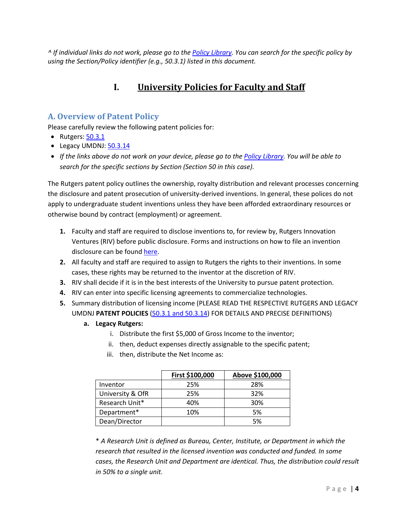*^ If individual links do not work, please go to th[e Policy Library.](https://policies.rutgers.edu/view-policies/governance-legal-matters-%E2%80%93-section-50) You can search for the specific policy by using the Section/Policy identifier (e.g., 50.3.1) listed in this document.*

## **I. University Policies for Faculty and Staff**

## **A. Overview of Patent Policy**

Please carefully review the following patent policies for:

- Rutgers[: 50.3.1](http://policies.rutgers.edu/5031-currentpdf)
- Legacy UMDNJ: [50.3.14](http://policies.rutgers.edu/50314-currentpdf)
- *If the links above do not work on your device, please go to the [Policy Library.](https://policies.rutgers.edu/view-policies/governance-legal-matters-%E2%80%93-section-50) You will be able to search for the specific sections by Section (Section 50 in this case).*

The Rutgers patent policy outlines the ownership, royalty distribution and relevant processes concerning the disclosure and patent prosecution of university-derived inventions. In general, these polices do not apply to undergraduate student inventions unless they have been afforded extraordinary resources or otherwise bound by contract (employment) or agreement.

- **1.** Faculty and staff are required to disclose inventions to, for review by, Rutgers Innovation Ventures (RIV) before public disclosure. Forms and instructions on how to file an invention disclosure can be found [here.](https://research.rutgers.edu/researcher-support/commercialize-your-innovation/disclose-your-invention/submitting-disclosure)
- **2.** All faculty and staff are required to assign to Rutgers the rights to their inventions. In some cases, these rights may be returned to the inventor at the discretion of RIV.
- **3.** RIV shall decide if it is in the best interests of the University to pursue patent protection.
- **4.** RIV can enter into specific licensing agreements to commercialize technologies.
- **5.** Summary distribution of licensing income (PLEASE READ THE RESPECTIVE RUTGERS AND LEGACY UMDNJ **PATENT POLICIES** [\(50.3.1 and 50.3.14\)](https://policies.rutgers.edu/view-policies/governance-legal-matters-%E2%80%93-section-50) FOR DETAILS AND PRECISE DEFINITIONS)
	- **a. Legacy Rutgers:** 
		- i. Distribute the first \$5,000 of Gross Income to the inventor;
		- ii. then, deduct expenses directly assignable to the specific patent;
		- iii. then, distribute the Net Income as:

|                  | First \$100,000 | Above \$100,000 |
|------------------|-----------------|-----------------|
| Inventor         | 25%             | 28%             |
| University & OfR | 25%             | 32%             |
| Research Unit*   | 40%             | 30%             |
| Department*      | 10%             | 5%              |
| Dean/Director    |                 | 5%              |

\* *A Research Unit is defined as Bureau, Center, Institute, or Department in which the research that resulted in the licensed invention was conducted and funded. In some cases, the Research Unit and Department are identical. Thus, the distribution could result in 50% to a single unit.*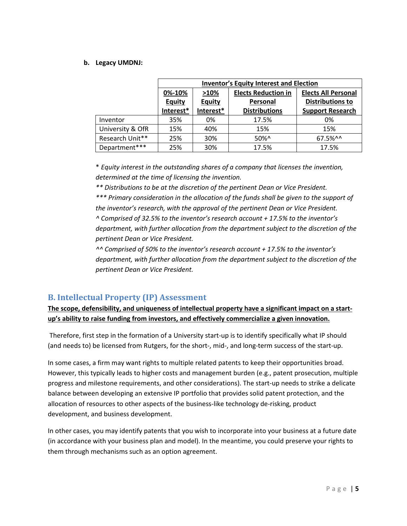### **b. Legacy UMDNJ:**

|                  | <b>Inventor's Equity Interest and Election</b> |               |                      |                            |
|------------------|------------------------------------------------|---------------|----------------------|----------------------------|
|                  | <b>Elects Reduction in</b><br>>10%<br>0%-10%   |               |                      | <b>Elects All Personal</b> |
|                  | <b>Equity</b>                                  | <b>Equity</b> | Personal             | <b>Distributions to</b>    |
|                  | Interest*                                      | Interest*     | <b>Distributions</b> | <b>Support Research</b>    |
| Inventor         | 35%                                            | 0%            | 17.5%                | 0%                         |
| University & OfR | 15%                                            | 40%           | 15%                  | 15%                        |
| Research Unit**  | 25%                                            | 30%           | $50\%$ ^             | 67.5%^^                    |
| Department***    | 25%                                            | 30%           | 17.5%                | 17.5%                      |

\* *Equity interest in the outstanding shares of a company that licenses the invention, determined at the time of licensing the invention.*

*\*\* Distributions to be at the discretion of the pertinent Dean or Vice President.*

*\*\*\* Primary consideration in the allocation of the funds shall be given to the support of the inventor's research, with the approval of the pertinent Dean or Vice President. ^ Comprised of 32.5% to the inventor's research account + 17.5% to the inventor's department, with further allocation from the department subject to the discretion of the pertinent Dean or Vice President.*

*^^ Comprised of 50% to the inventor's research account + 17.5% to the inventor's department, with further allocation from the department subject to the discretion of the pertinent Dean or Vice President.*

## **B. Intellectual Property (IP) Assessment**

**The scope, defensibility, and uniqueness of intellectual property have a significant impact on a startup's ability to raise funding from investors, and effectively commercialize a given innovation.**

Therefore, first step in the formation of a University start-up is to identify specifically what IP should (and needs to) be licensed from Rutgers, for the short-, mid-, and long-term success of the start-up.

In some cases, a firm may want rights to multiple related patents to keep their opportunities broad. However, this typically leads to higher costs and management burden (e.g., patent prosecution, multiple progress and milestone requirements, and other considerations). The start-up needs to strike a delicate balance between developing an extensive IP portfolio that provides solid patent protection, and the allocation of resources to other aspects of the business-like technology de-risking, product development, and business development.

In other cases, you may identify patents that you wish to incorporate into your business at a future date (in accordance with your business plan and model). In the meantime, you could preserve your rights to them through mechanisms such as an option agreement.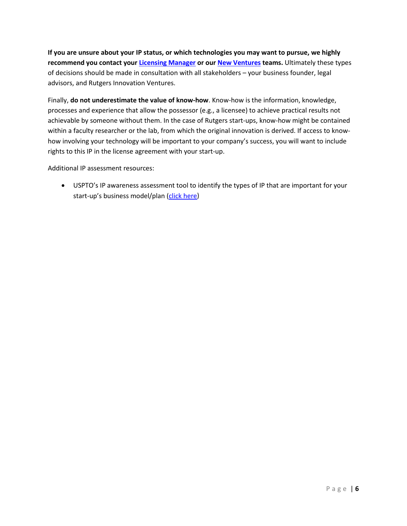**If you are unsure about your IP status, or which technologies you may want to pursue, we highly recommend you contact your [Licensing Manager](https://research.rutgers.edu/researcher-support/commercialize-your-innovation/license-your-technology/licensing-and) or our [New Ventures](https://research.rutgers.edu/new-ventures) teams.** Ultimately these types of decisions should be made in consultation with all stakeholders – your business founder, legal advisors, and Rutgers Innovation Ventures.

Finally, **do not underestimate the value of know-how**. Know-how is the information, knowledge, processes and experience that allow the possessor (e.g., a licensee) to achieve practical results not achievable by someone without them. In the case of Rutgers start-ups, know-how might be contained within a faculty researcher or the lab, from which the original innovation is derived. If access to knowhow involving your technology will be important to your company's success, you will want to include rights to this IP in the license agreement with your start-up.

Additional IP assessment resources:

• USPTO's IP awareness assessment tool to identify the types of IP that are important for your start-up's business model/plan [\(click here\)](http://www.uspto.gov/inventors/assessment/)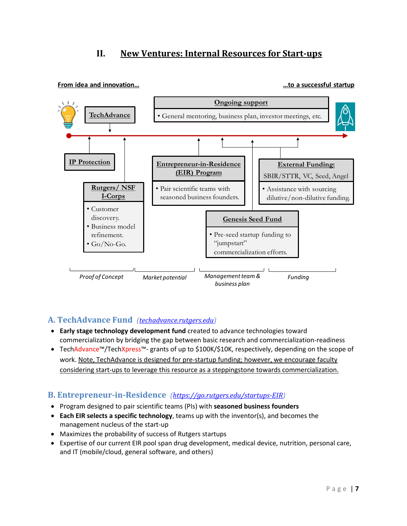## **II. New Ventures: Internal Resources for Start-ups**



**From idea and innovation... we are all the startup in the startup** in the startup in the startup in the startup

## **A. TechAdvance Fund** *[\(techadvance.rutgers.edu\)](file://rad.rutgers.edu/dfs/OredShared/OrcOtc/Dept%20of%20NEW%20VENTURES/Startup_Resources/techadvance.rutgers.edu)*

- **Early stage technology development fund** created to advance technologies toward commercialization by bridging the gap between basic research and commercialization-readiness
- TechAdvance™/TechXpress™- grants of up to \$100K/\$10K, respectively, depending on the scope of work. Note, TechAdvance is designed for pre-startup funding; however, we encourage faculty considering start-ups to leverage this resource as a steppingstone towards commercialization.

## **B. Entrepreneur-in-Residence** *[\(https://go.rutgers.edu/startups-EIR\)](https://go.rutgers.edu/startups-EIR)*

- Program designed to pair scientific teams (PIs) with **seasoned business founders**
- **Each EIR selects a specific technology**, teams up with the inventor(s), and becomes the management nucleus of the start-up
- Maximizes the probability of success of Rutgers startups
- Expertise of our current EIR pool span drug development, medical device, nutrition, personal care, and IT (mobile/cloud, general software, and others)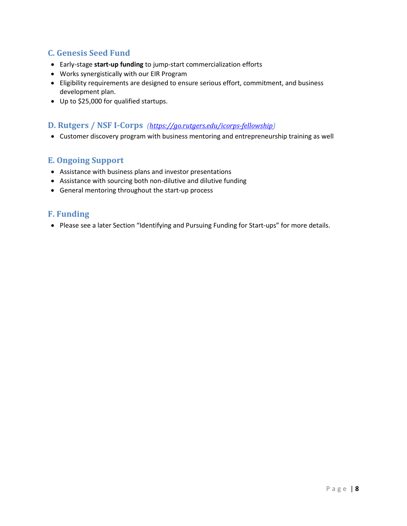## **C. Genesis Seed Fund**

- Early-stage **start-up funding** to jump-start commercialization efforts
- Works synergistically with our EIR Program
- Eligibility requirements are designed to ensure serious effort, commitment, and business development plan.
- Up to \$25,000 for qualified startups.

## **D. Rutgers / NSF I-Corps** *[\(https://go.rutgers.edu/icorps-fellowship\)](https://go.rutgers.edu/icorps-fellowship)*

• Customer discovery program with business mentoring and entrepreneurship training as well

## **E. Ongoing Support**

- Assistance with business plans and investor presentations
- Assistance with sourcing both non-dilutive and dilutive funding
- General mentoring throughout the start-up process

## **F. Funding**

• Please see a later Section "Identifying and Pursuing Funding for Start-ups" for more details.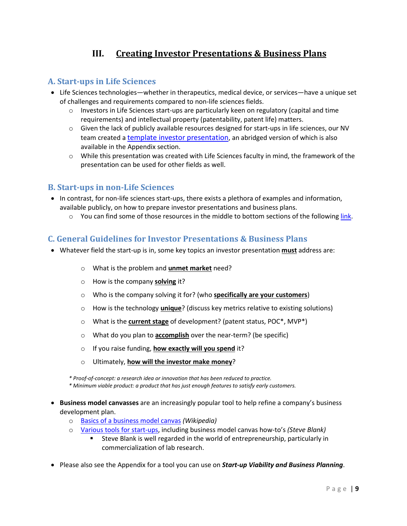## **III. Creating Investor Presentations & Business Plans**

## **A. Start-ups in Life Sciences**

- Life Sciences technologies—whether in therapeutics, medical device, or services—have a unique set of challenges and requirements compared to non-life sciences fields.
	- $\circ$  Investors in Life Sciences start-ups are particularly keen on regulatory (capital and time requirements) and intellectual property (patentability, patent life) matters.
	- o Given the lack of publicly available resources designed for start-ups in life sciences, our NV team created [a template investor presentation,](http://orc.rutgers.edu/sites/orc.rutgers.edu/files/InvestorDeck_Template_Jul2019.pptx) an abridged version of which is also available in the Appendix section.
	- $\circ$  While this presentation was created with Life Sciences faculty in mind, the framework of the presentation can be used for other fields as well.

## **B. Start-ups in non-Life Sciences**

- In contrast, for non-life sciences start-ups, there exists a plethora of examples and information, available publicly, on how to prepare investor presentations and business plans.
	- $\circ$  You can find some of those resources in the middle to bottom sections of the followin[g link.](https://research.rutgers.edu/new-ventures)

## **C. General Guidelines for Investor Presentations & Business Plans**

- Whatever field the start-up is in, some key topics an investor presentation **must** address are:
	- o What is the problem and **unmet market** need?
	- o How is the company **solving** it?
	- o Who is the company solving it for? (who **specifically are your customers**)
	- o How is the technology **unique**? (discuss key metrics relative to existing solutions)
	- o What is the **current stage** of development? (patent status, POC\*, MVP\*)
	- o What do you plan to **accomplish** over the near-term? (be specific)
	- o If you raise funding, **how exactly will you spend** it?
	- o Ultimately, **how will the investor make money**?

*\* Proof-of-concept: a research idea or innovation that has been reduced to practice.*

*\* Minimum viable product: a product that has just enough features to satisfy early customers.* 

- **Business model canvasses** are an increasingly popular tool to help refine a company's business development plan.
	- o [Basics of a business model canvas](https://en.wikipedia.org/wiki/Business_Model_Canvas) *(Wikipedia)*
	- o [Various tools for start-ups,](https://steveblank.com/tools-and-blogs-for-entrepreneurs/) including business model canvas how-to's *(Steve Blank)*
		- Steve Blank is well regarded in the world of entrepreneurship, particularly in commercialization of lab research.
- Please also see the Appendix for a tool you can use on *Start-up Viability and Business Planning*.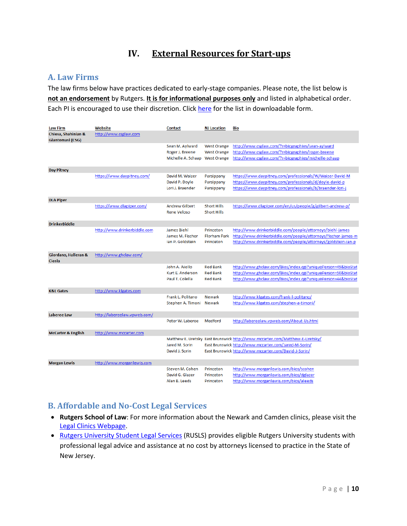## **IV. External Resources for Start-ups**

## **A. Law Firms**

The law firms below have practices dedicated to early-stage companies. Please note, the list below is **not an endorsement** by Rutgers. **It is for informational purposes only** and listed in alphabetical order. Each PI is encouraged to use their discretion. Click [here](http://orc.rutgers.edu/sites/orc.rutgers.edu/files/NJ%20start-up%20lawyers_Original.xlsx) for the list in downloadable form.

| <b>Law Firm</b>                         | Website                      | <b>Contact</b>                                             | <b>NJ</b> Location                                             | Bio                                                                                                                                                                                            |
|-----------------------------------------|------------------------------|------------------------------------------------------------|----------------------------------------------------------------|------------------------------------------------------------------------------------------------------------------------------------------------------------------------------------------------|
| Chiesa, Shahinian &<br>Giantomasi (CSG) | http://www.csglaw.com        |                                                            |                                                                |                                                                                                                                                                                                |
|                                         |                              | Sean M. Aylward<br>Roger J. Breene<br>Michelle A. Schaap   | <b>West Orange</b><br><b>West Orange</b><br><b>West Orange</b> | http://www.csglaw.com/?r=biographies/sean-aylward<br>http://www.csglaw.com/?r=biographies/roger-breene<br>http://www.csglaw.com/?r=biographies/michelle-schaap                                 |
| <b>Day Pitney</b>                       |                              |                                                            |                                                                |                                                                                                                                                                                                |
|                                         | https://www.daypitney.com/   | David M. Waizer<br>David P. Doyle<br>Lori J. Braender      | Parsippany<br>Parsippany<br>Parsippany                         | https://www.daypitney.com/professionals/W/Waizer-David-M<br>https://www.daypitney.com/professionals/d/doyle-david-p<br>https://www.daypitney.com/professionals/b/braender-lori-j               |
| <b>DLA Piper</b>                        |                              |                                                            |                                                                |                                                                                                                                                                                                |
|                                         | https://www.dlapiper.com/    | <b>Andrew Gilbert</b><br><b>Rene Veloso</b>                | <b>Short Hills</b><br><b>Short Hills</b>                       | https://www.dlapiper.com/en/us/people/g/gilbert-andrew-p/                                                                                                                                      |
| <b>DrinkerBiddle</b>                    |                              |                                                            |                                                                |                                                                                                                                                                                                |
|                                         | http://www.drinkerbiddle.com | <b>James Biehl</b><br>James M. Fischer<br>Ian P. Goldstein | Princeton<br><b>Florham Park</b><br>Princeton                  | http://www.drinkerbiddle.com/people/attorneys/biehl-james<br>http://www.drinkerbiddle.com/people/attorneys/fischer-james-m<br>http://www.drinkerbiddle.com/people/attorneys/goldstein-ian-p    |
| Giordano, Halleran &<br><b>Ciesla</b>   | http://www.ghclaw.com/       |                                                            |                                                                |                                                                                                                                                                                                |
|                                         |                              | John A. Aiello<br>Kurt E. Anderson<br>Paul T. Colella      | <b>Red Bank</b><br><b>Red Bank</b><br><b>Red Bank</b>          | http://www.ghclaw.com/Bios/index.cgi?uniquePerson=49&bioStat<br>http://www.ghclaw.com/Bios/index.cgi?uniquePerson=50&bioStat<br>http://www.ghclaw.com/Bios/index.cgi?uniquePerson=44&bioStat   |
| <b>K&amp;L Gates</b>                    | http://www.klgates.com       |                                                            |                                                                |                                                                                                                                                                                                |
|                                         |                              | Frank L. Politano<br>Stephen A. Timoni                     | <b>Newark</b><br><b>Newark</b>                                 | http://www.klgates.com/frank-l-politano/<br>http://www.klgates.com/stephen-a-timoni/                                                                                                           |
| Laberee Law                             | http://labereelaw.vpweb.com/ |                                                            |                                                                |                                                                                                                                                                                                |
|                                         |                              | Peter W. Laberee                                           | Medford                                                        | http://labereelaw.vpweb.com/About-Us.html                                                                                                                                                      |
| <b>McCarter &amp; English</b>           | http://www.mccarter.com      |                                                            |                                                                |                                                                                                                                                                                                |
|                                         |                              | Jared M. Sorin<br>David J. Sorin                           |                                                                | Matthew E. Uretsky East Brunswick http://www.mccarter.com/Matthew-E-Uretsky/<br>East Brunswick http://www.mccarter.com/Jared-M-Sorin/<br>East Brunswick http://www.mccarter.com/David-J-Sorin/ |
| <b>Morgan Lewis</b>                     | http://www.morganlewis.com   |                                                            |                                                                |                                                                                                                                                                                                |
|                                         |                              | Steven M. Cohen<br>David G. Glazer<br>Alan B. Leeds        | Princeton<br>Princeton<br>Princeton                            | http://www.morganlewis.com/bios/scohen<br>http://www.morganlewis.com/bios/dglazer<br>http://www.morganlewis.com/bios/aleeds                                                                    |

## **B. Affordable and No-Cost Legal Services**

- **Rutgers School of Law**: For more information about the Newark and Camden clinics, please visit the [Legal Clinics Webpage.](https://law.rutgers.edu/legal-clinics)
- [Rutgers University Student Legal Services](http://rusls.rutgers.edu/) (RUSLS) provides eligible Rutgers University students with professional legal advice and assistance at no cost by attorneys licensed to practice in the State of New Jersey.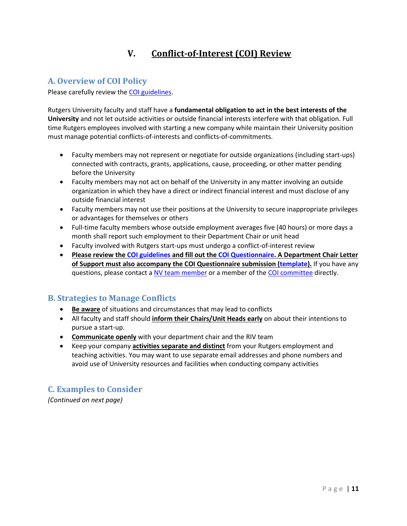## **V. Conflict-of-Interest (COI) Review**

## **A. Overview of COI Policy**

Please carefully review the [COI guidelines.](http://orc.rutgers.edu/sites/orc.rutgers.edu/files/COI_Guidelines_and_Procedures_Aug2019.pdf)

Rutgers University faculty and staff have a **fundamental obligation to act in the best interests of the University** and not let outside activities or outside financial interests interfere with that obligation. Full time Rutgers employees involved with starting a new company while maintain their University position must manage potential conflicts-of-interests and conflicts-of-commitments.

- Faculty members may not represent or negotiate for outside organizations (including start-ups) connected with contracts, grants, applications, cause, proceeding, or other matter pending before the University
- Faculty members may not act on behalf of the University in any matter involving an outside organization in which they have a direct or indirect financial interest and must disclose of any outside financial interest
- Faculty members may not use their positions at the University to secure inappropriate privileges or advantages for themselves or others
- Full-time faculty members whose outside employment averages five (40 hours) or more days a month shall report such employment to their Department Chair or unit head
- Faculty involved with Rutgers start-ups must undergo a conflict-of-interest review
- **Please review the [COI guidelines](http://orc.rutgers.edu/sites/orc.rutgers.edu/files/COI_Guidelines_and_Procedures_Aug2019.pdf) and fill out th[e COI Questionnaire.](http://orc.rutgers.edu/sites/orc.rutgers.edu/files/COI_Questionnaire.docx) A Department Chair Letter of Support must also accompany the COI Questionnaire submission [\(template\)](http://orc.rutgers.edu/sites/orc.rutgers.edu/files/COI_Chair_Dean_Letter_Template.docx).** If you have any questions, please contact [a NV team member](https://orc.rutgers.edu/our-team/new-ventures-staff) or a member of the [COI committee](mailto:gk434@ored.rutgers.edu) directly.

## **B. Strategies to Manage Conflicts**

- **Be aware** of situations and circumstances that may lead to conflicts
- All faculty and staff should **inform their Chairs/Unit Heads early** on about their intentions to pursue a start-up.
- **Communicate openly** with your department chair and the RIV team
- Keep your company **activities separate and distinct** from your Rutgers employment and teaching activities. You may want to use separate email addresses and phone numbers and avoid use of University resources and facilities when conducting company activities

## **C. Examples to Consider**

*(Continued on next page)*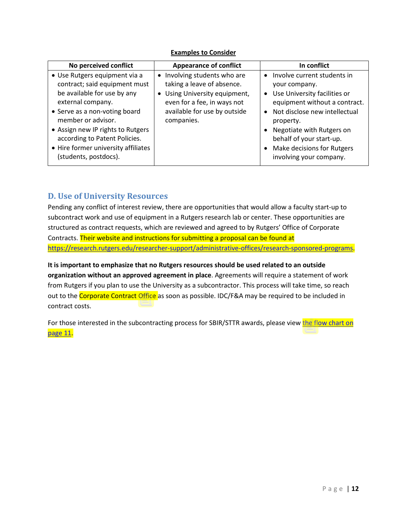### **Examples to Consider**

| No perceived conflict                                                                                                                                                                                                                                                                                           | <b>Appearance of conflict</b>                                                                                                                                            | In conflict                                                                                                                                                                                                                                                                                |
|-----------------------------------------------------------------------------------------------------------------------------------------------------------------------------------------------------------------------------------------------------------------------------------------------------------------|--------------------------------------------------------------------------------------------------------------------------------------------------------------------------|--------------------------------------------------------------------------------------------------------------------------------------------------------------------------------------------------------------------------------------------------------------------------------------------|
| • Use Rutgers equipment via a<br>contract; said equipment must<br>be available for use by any<br>external company.<br>• Serve as a non-voting board<br>member or advisor.<br>• Assign new IP rights to Rutgers<br>according to Patent Policies.<br>• Hire former university affiliates<br>(students, postdocs). | • Involving students who are<br>taking a leave of absence.<br>• Using University equipment,<br>even for a fee, in ways not<br>available for use by outside<br>companies. | Involve current students in<br>your company.<br>Use University facilities or<br>$\bullet$<br>equipment without a contract.<br>Not disclose new intellectual<br>property.<br>Negotiate with Rutgers on<br>behalf of your start-up.<br>Make decisions for Rutgers<br>involving your company. |

## **D. Use of University Resources**

Pending any conflict of interest review, there are opportunities that would allow a faculty start-up to subcontract work and use of equipment in a Rutgers research lab or center. These opportunities are structured as contract requests, which are reviewed and agreed to by Rutgers' Office of Corporate Contracts. Their website and instructions for submitting a proposal can be found at [https://research.rutgers.edu/researcher-support/administrative-offices/research-sponsored-programs.](https://research.rutgers.edu/researcher-support/administrative-offices/research-sponsored-programs)

**It is important to emphasize that no Rutgers resources should be used related to an outside organization without an approved agreement in place**. Agreements will require a statement of work from Rutgers if you plan to use the University as a subcontractor. This process will take time, so reach out to the Corporate Contract Office as soon as possible. IDC/F&A may be required to be included in contract costs.

For those interested in the subcontracting process for SBIR/STTR awards, please view the [flow chart](https://research.rutgers.edu/sites/default/files/2020-08/Rutgers-SBIR-STTR-Guide.pdf) on page 11.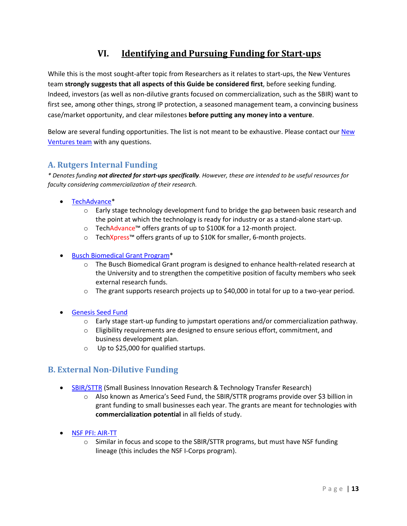## **VI. Identifying and Pursuing Funding for Start-ups**

While this is the most sought-after topic from Researchers as it relates to start-ups, the New Ventures team **strongly suggests that all aspects of this Guide be considered first**, before seeking funding. Indeed, investors (as well as non-dilutive grants focused on commercialization, such as the SBIR) want to first see, among other things, strong IP protection, a seasoned management team, a convincing business case/market opportunity, and clear milestones **before putting any money into a venture**.

Below are several funding opportunities. The list is not meant to be exhaustive. Please contact our New [Ventures team](https://research.rutgers.edu/new-ventures) with any questions.

## **A. Rutgers Internal Funding**

*\* Denotes funding not directed for start-ups specifically. However, these are intended to be useful resources for faculty considering commercialization of their research.* 

- [TechAdvance\\*](https://research.rutgers.edu/techadvance)
	- $\circ$  Early stage technology development fund to bridge the gap between basic research and the point at which the technology is ready for industry or as a stand-alone start-up.
	- o TechAdvance™ offers grants of up to \$100K for a 12-month project.
	- o TechXpress™ offers grants of up to \$10K for smaller, 6-month projects.
- [Busch Biomedical Grant Program\\*](https://research.rutgers.edu/researcher-support/research-life-cycle/find-funding/busch-biomedical-grant-program)
	- o The Busch Biomedical Grant program is designed to enhance health-related research at the University and to strengthen the competitive position of faculty members who seek external research funds.
	- $\circ$  The grant supports research projects up to \$40,000 in total for up to a two-year period.
- [Genesis Seed Fund](https://research.rutgers.edu/researcher-support/commercialize-your-innovation/launch-startup/new-ventures/genesis-seed-fund)
	- o Early stage start-up funding to jumpstart operations and/or commercialization pathway.
	- o Eligibility requirements are designed to ensure serious effort, commitment, and business development plan.
	- o Up to \$25,000 for qualified startups.

## **B. External Non-Dilutive Funding**

- [SBIR/STTR](https://www.sbir.gov/) (Small Business Innovation Research & Technology Transfer Research)
	- o Also known as America's Seed Fund, the SBIR/STTR programs provide over \$3 billion in grant funding to small businesses each year. The grants are meant for technologies with **commercialization potential** in all fields of study.
- [NSF PFI: AIR-TT](https://www.nsf.gov/eng/iip/pfi/about.jsp)
	- o Similar in focus and scope to the SBIR/STTR programs, but must have NSF funding lineage (this includes the NSF I-Corps program).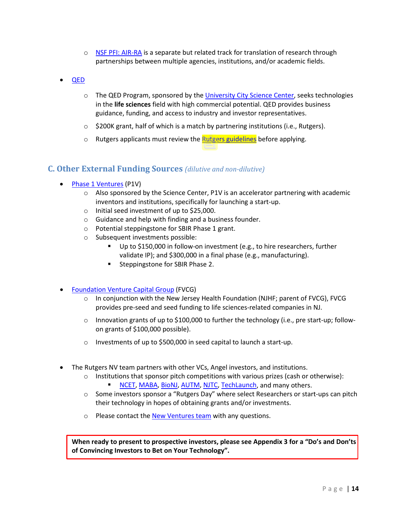- o [NSF PFI: AIR-RA](https://www.nsf.gov/eng/iip/pfi/air-ra.jsp) is a separate but related track for translation of research through partnerships between multiple agencies, institutions, and/or academic fields.
- [QED](https://sciencecenter.org/discover/qed)
	- $\circ$  The QED Program, sponsored by the [University City Science Center,](https://sciencecenter.org/) seeks technologies in the **life sciences** field with high commercial potential. QED provides business guidance, funding, and access to industry and investor representatives.
	- $\circ$  \$200K grant, half of which is a match by partnering institutions (i.e., Rutgers).
	- o Rutgers applicants must review the **Rutgers guidelines** before applying.

## **C. Other External Funding Sources** *(dilutive and non-dilutive)*

- [Phase 1 Ventures](http://www.sciencecenter.org/discover/phase-1-ventures) (P1V)
	- $\circ$  Also sponsored by the Science Center, P1V is an accelerator partnering with academic inventors and institutions, specifically for launching a start-up.
	- o Initial seed investment of up to \$25,000.
	- o Guidance and help with finding and a business founder.
	- o Potential steppingstone for SBIR Phase 1 grant.
	- o Subsequent investments possible:
		- Up to \$150,000 in follow-on investment (e.g., to hire researchers, further validate IP); and \$300,000 in a final phase (e.g., manufacturing).
		- **Steppingstone for SBIR Phase 2.**
- [Foundation Venture Capital Group](http://www.foundationventure.com/) (FVCG)
	- $\circ$  In conjunction with the New Jersey Health Foundation (NJHF; parent of FVCG), FVCG provides pre-seed and seed funding to life sciences-related companies in NJ.
	- o Innovation grants of up to \$100,000 to further the technology (i.e., pre start-up; followon grants of \$100,000 possible).
	- o Investments of up to \$500,000 in seed capital to launch a start-up.
- The Rutgers NV team partners with other VCs, Angel investors, and institutions.
	- $\circ$  Institutions that sponsor pitch competitions with various prizes (cash or otherwise):
		- [NCET,](https://ncet.org/) [MABA,](https://bioangels.net/) [BioNJ,](https://bionj.org/) [AUTM,](https://autm.net/) [NJTC,](https://njtc.org/) [TechLaunch,](http://www.techlaunch.com/) and many others.
	- $\circ$  Some investors sponsor a "Rutgers Day" where select Researchers or start-ups can pitch their technology in hopes of obtaining grants and/or investments.
	- o Please contact th[e New Ventures](https://orc.rutgers.edu/startups) team with any questions.

**When ready to present to prospective investors, please see Appendix 3 for a "Do's and Don'ts of Convincing Investors to Bet on Your Technology".**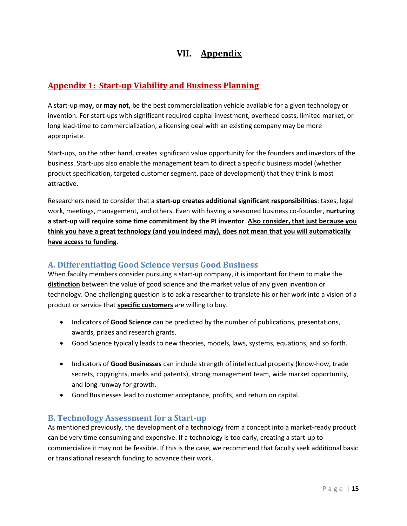## **VII. Appendix**

## **Appendix 1: Start-up Viability and Business Planning**

A start-up **may,** or **may not,** be the best commercialization vehicle available for a given technology or invention. For start-ups with significant required capital investment, overhead costs, limited market, or long lead-time to commercialization, a licensing deal with an existing company may be more appropriate.

Start-ups, on the other hand, creates significant value opportunity for the founders and investors of the business. Start-ups also enable the management team to direct a specific business model (whether product specification, targeted customer segment, pace of development) that they think is most attractive.

Researchers need to consider that a **start-up creates additional significant responsibilities**: taxes, legal work, meetings, management, and others. Even with having a seasoned business co-founder, **nurturing a start-up will require some time commitment by the PI inventor**. **Also consider, that just because you think you have a great technology (and you indeed may), does not mean that you will automatically have access to funding**.

## **A. Differentiating Good Science versus Good Business**

When faculty members consider pursuing a start-up company, it is important for them to make the **distinction** between the value of good science and the market value of any given invention or technology. One challenging question is to ask a researcher to translate his or her work into a vision of a product or service that **specific customers** are willing to buy.

- Indicators of **Good Science** can be predicted by the number of publications, presentations, awards, prizes and research grants.
- Good Science typically leads to new theories, models, laws, systems, equations, and so forth.
- Indicators of **Good Businesses** can include strength of intellectual property (know-how, trade secrets, copyrights, marks and patents), strong management team, wide market opportunity, and long runway for growth.
- Good Businesses lead to customer acceptance, profits, and return on capital.

## **B. Technology Assessment for a Start-up**

As mentioned previously, the development of a technology from a concept into a market-ready product can be very time consuming and expensive. If a technology is too early, creating a start-up to commercialize it may not be feasible. If this is the case, we recommend that faculty seek additional basic or translational research funding to advance their work.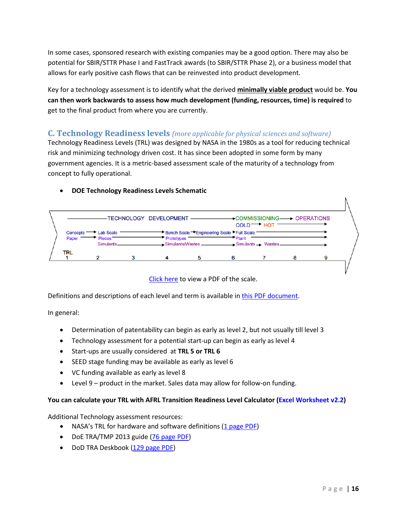In some cases, sponsored research with existing companies may be a good option. There may also be potential for SBIR/STTR Phase I and FastTrack awards (to SBIR/STTR Phase 2), or a business model that allows for early positive cash flows that can be reinvested into product development.

Key for a technology assessment is to identify what the derived **minimally viable product** would be. **You can then work backwards to assess how much development (funding, resources, time) is required** to get to the final product from where you are currently.

## **C. Technology Readiness levels** *(more applicable for physical sciences and software)*

Technology Readiness Levels (TRL) was designed by NASA in the 1980s as a tool for reducing technical risk and minimizing technology driven cost. It has since been adopted in some form by many government agencies. It is a metric-based assessment scale of the maturity of a technology from concept to fully operational.



### • **DOE Technology Readiness Levels Schematic**

[Click here](https://orc.rutgers.edu/sites/orc.rutgers.edu/files/downloads/DOE%20TRL%20schematic.pdf) to view a PDF of the scale.

Definitions and descriptions of each level and term is available in this PDF [document.](https://orc.rutgers.edu/sites/orc.rutgers.edu/files/downloads/DOE%20TRL%20table.pdf)

In general:

- Determination of patentability can begin as early as level 2, but not usually till level 3
- Technology assessment for a potential start-up can begin as early as level 4
- Start-ups are usually considered at **TRL 5 or TRL 6**
- SEED stage funding may be available as early as level 6
- VC funding available as early as level 8
- Level 9 product in the market. Sales data may allow for follow-on funding.

#### **You can calculate your TRL with AFRL Transition Readiness Level Calculator [\(Excel Worksheet v2.2\)](https://orc.rutgers.edu/sites/orc.rutgers.edu/files/downloads/AFRL%20Transition%20Readiness%20Level%20Calculator%20v2.2.xls)**

Additional Technology assessment resources:

- NASA's TRL for hardware and software definitions [\(1 page PDF\)](https://orc.rutgers.edu/sites/orc.rutgers.edu/files/downloads/NASA%20TRL.pdf)
- DoE TRA/TMP 2013 guide [\(76 page PDF\)](https://orc.rutgers.edu/sites/orc.rutgers.edu/files/downloads/DOE%202013%20TRA%20Guidepdf.pdf)
- DoD TRA Deskbook [\(129 page PDF\)](https://orc.rutgers.edu/sites/orc.rutgers.edu/files/downloads/DoD%20TRA%20Deskbook.pdf)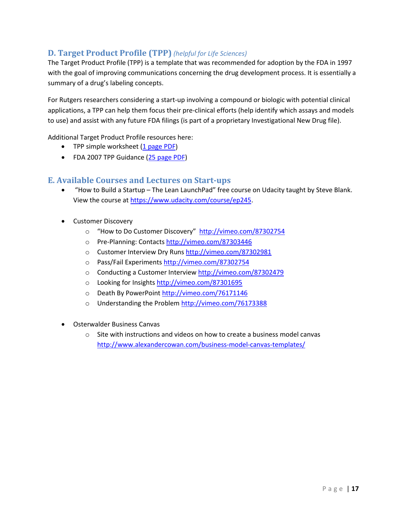## **D. Target Product Profile (TPP)** *(helpful for Life Sciences)*

The Target Product Profile (TPP) is a template that was recommended for adoption by the FDA in 1997 with the goal of improving communications concerning the drug development process. It is essentially a summary of a drug's labeling concepts.

For Rutgers researchers considering a start-up involving a compound or biologic with potential clinical applications, a TPP can help them focus their pre-clinical efforts (help identify which assays and models to use) and assist with any future FDA filings (is part of a proprietary Investigational New Drug file).

Additional Target Product Profile resources here:

- TPP simple worksheet [\(1 page PDF\)](https://orc.rutgers.edu/sites/orc.rutgers.edu/files/downloads/TPP%20example%20worksheet.pdf)
- FDA 2007 TPP Guidance [\(25 page PDF\)](https://orc.rutgers.edu/sites/orc.rutgers.edu/files/downloads/FDA%20TPP%20Guidance.pdf)

## **E. Available Courses and Lectures on Start-ups**

- "How to Build a Startup The Lean LaunchPad" free course on Udacity taught by Steve Blank. View the course at [https://www.udacity.com/course/ep245.](https://www.udacity.com/course/ep245)
- Customer Discovery
	- o "How to Do Customer Discovery" <http://vimeo.com/87302754>
	- o Pre-Planning: Contacts<http://vimeo.com/87303446>
	- o Customer Interview Dry Runs http://vimeo.com/87302981
	- o Pass/Fail Experiments<http://vimeo.com/87302754>
	- o Conducting a Customer Interview<http://vimeo.com/87302479>
	- o Looking for Insight[s http://vimeo.com/87301695](http://vimeo.com/87301695)
	- o Death By PowerPoint<http://vimeo.com/76171146>
	- o Understanding the Proble[m http://vimeo.com/76173388](http://vimeo.com/76173388)
- Osterwalder Business Canvas
	- $\circ$  Site with instructions and videos on how to create a business model canvas <http://www.alexandercowan.com/business-model-canvas-templates/>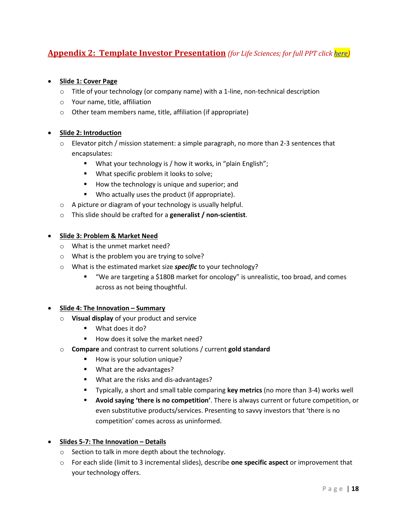## **Appendix 2: Template Investor Presentation** *(for Life Sciences; for full PPT click [here\)](http://orc.rutgers.edu/sites/orc.rutgers.edu/files/InvestorDeck_Template_Jul2019.pptx)*

## • **Slide 1: Cover Page**

- $\circ$  Title of your technology (or company name) with a 1-line, non-technical description
- o Your name, title, affiliation
- o Other team members name, title, affiliation (if appropriate)

### • **Slide 2: Introduction**

- $\circ$  Elevator pitch / mission statement: a simple paragraph, no more than 2-3 sentences that encapsulates:
	- **What your technology is / how it works, in "plain English";**
	- **What specific problem it looks to solve;**
	- How the technology is unique and superior; and
	- **Who actually uses the product (if appropriate).**
- o A picture or diagram of your technology is usually helpful.
- o This slide should be crafted for a **generalist / non-scientist**.

### • **Slide 3: Problem & Market Need**

- o What is the unmet market need?
- o What is the problem you are trying to solve?
- o What is the estimated market size *specific* to your technology?
	- "We are targeting a \$180B market for oncology" is unrealistic, too broad, and comes across as not being thoughtful.

### • **Slide 4: The Innovation – Summary**

- o **Visual display** of your product and service
	- What does it do?
	- $\blacksquare$  How does it solve the market need?
- o **Compare** and contrast to current solutions / current **gold standard**
	- **How is your solution unique?**
	- **What are the advantages?**
	- **What are the risks and dis-advantages?**
	- Typically, a short and small table comparing **key metrics** (no more than 3-4) works well
	- **Avoid saying 'there is no competition'**. There is always current or future competition, or even substitutive products/services. Presenting to savvy investors that 'there is no competition' comes across as uninformed.

### • **Slides 5-7: The Innovation – Details**

- o Section to talk in more depth about the technology.
- o For each slide (limit to 3 incremental slides), describe **one specific aspect** or improvement that your technology offers.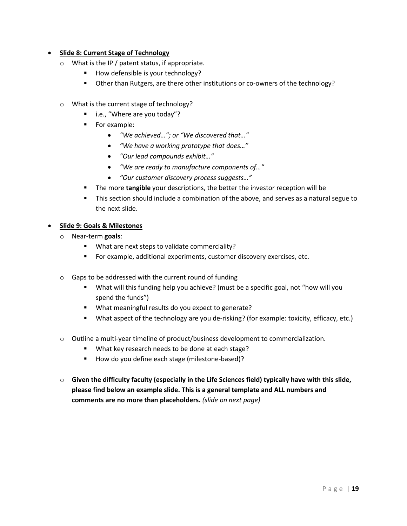## • **Slide 8: Current Stage of Technology**

- o What is the IP / patent status, if appropriate.
	- How defensible is your technology?
	- Other than Rutgers, are there other institutions or co-owners of the technology?
- o What is the current stage of technology?
	- i.e., "Where are you today"?
	- **For example:** 
		- *"We achieved…"; or "We discovered that…"*
		- *"We have a working prototype that does…"*
		- *"Our lead compounds exhibit…"*
		- *"We are ready to manufacture components of…"*
		- *"Our customer discovery process suggests…"*
	- **The more tangible** your descriptions, the better the investor reception will be
	- This section should include a combination of the above, and serves as a natural segue to the next slide.

### • **Slide 9: Goals & Milestones**

- o Near-term **goals**:
	- What are next steps to validate commerciality?
	- For example, additional experiments, customer discovery exercises, etc.
- o Gaps to be addressed with the current round of funding
	- What will this funding help you achieve? (must be a specific goal, not "how will you spend the funds")
	- What meaningful results do you expect to generate?
	- What aspect of the technology are you de-risking? (for example: toxicity, efficacy, etc.)
- o Outline a multi-year timeline of product/business development to commercialization.
	- **What key research needs to be done at each stage?**
	- How do you define each stage (milestone-based)?
- o **Given the difficulty faculty (especially in the Life Sciences field) typically have with this slide, please find below an example slide. This is a general template and ALL numbers and comments are no more than placeholders.** *(slide on next page)*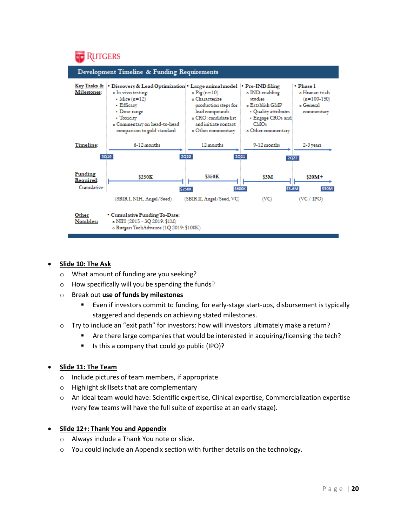

### • **Slide 10: The Ask**

- o What amount of funding are you seeking?
- o How specifically will you be spending the funds?
- o Break out **use of funds by milestones**
	- Even if investors commit to funding, for early-stage start-ups, disbursement is typically staggered and depends on achieving stated milestones.
- o Try to include an "exit path" for investors: how will investors ultimately make a return?
	- Are there large companies that would be interested in acquiring/licensing the tech?
	- Is this a company that could go public (IPO)?

### • **Slide 11: The Team**

- o Include pictures of team members, if appropriate
- o Highlight skillsets that are complementary
- o An ideal team would have: Scientific expertise, Clinical expertise, Commercialization expertise (very few teams will have the full suite of expertise at an early stage).

### • **Slide 12+: Thank You and Appendix**

- o Always include a Thank You note or slide.
- o You could include an Appendix section with further details on the technology.